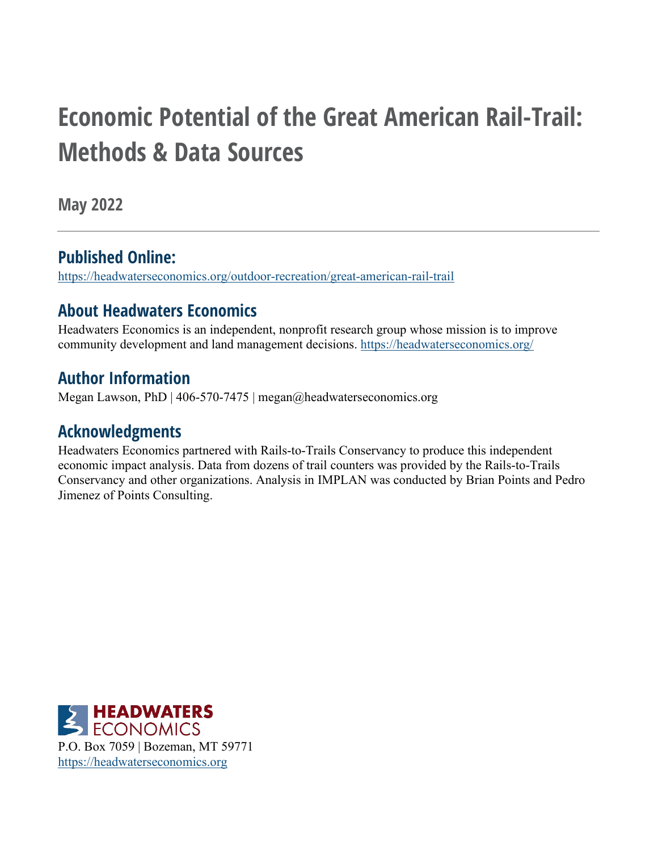# **Economic Potential of the Great American Rail-Trail: Methods & Data Sources**

**May 2022**

### **Published Online:**

<https://headwaterseconomics.org/outdoor-recreation/great-american-rail-trail>

### **About Headwaters Economics**

Headwaters Economics is an independent, nonprofit research group whose mission is to improve community development and land management decisions.<https://headwaterseconomics.org/>

### **Author Information**

Megan Lawson, PhD | 406-570-7475 | megan@headwaterseconomics.org

### **Acknowledgments**

Headwaters Economics partnered with Rails-to-Trails Conservancy to produce this independent economic impact analysis. Data from dozens of trail counters was provided by the Rails-to-Trails Conservancy and other organizations. Analysis in IMPLAN was conducted by Brian Points and Pedro Jimenez of Points Consulting.

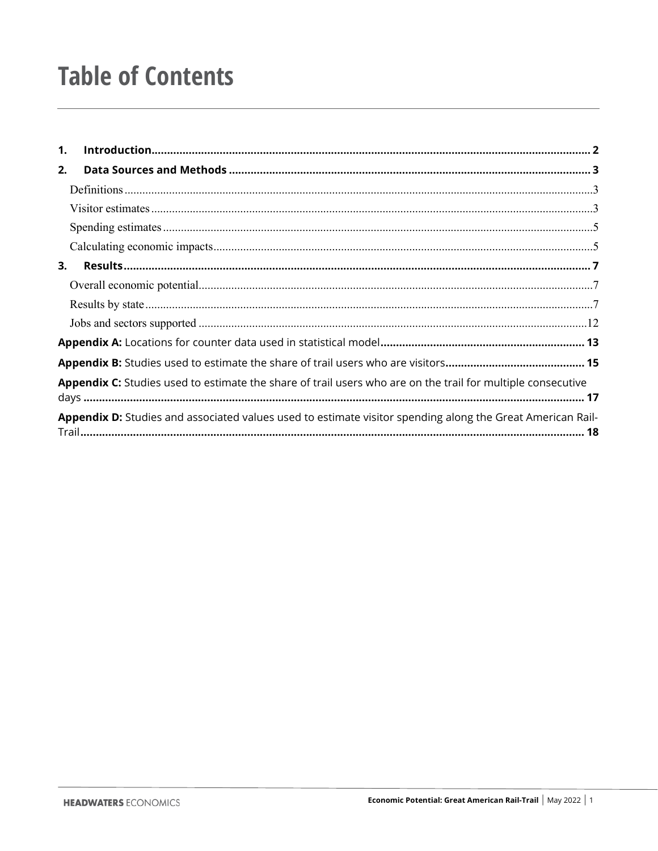# **Table of Contents**

| $\mathbf{1}$ . |                                                                                                             |
|----------------|-------------------------------------------------------------------------------------------------------------|
| 2.             |                                                                                                             |
|                |                                                                                                             |
|                |                                                                                                             |
|                |                                                                                                             |
|                |                                                                                                             |
| 3.             |                                                                                                             |
|                |                                                                                                             |
|                |                                                                                                             |
|                |                                                                                                             |
|                |                                                                                                             |
|                |                                                                                                             |
|                | Appendix C: Studies used to estimate the share of trail users who are on the trail for multiple consecutive |
|                | Appendix D: Studies and associated values used to estimate visitor spending along the Great American Rail-  |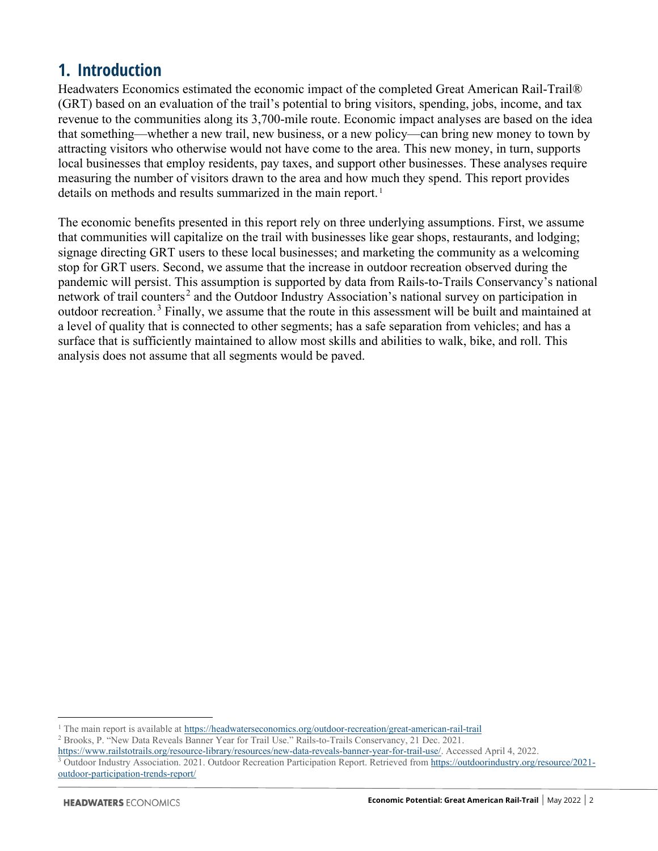### <span id="page-2-0"></span>**1. Introduction**

Headwaters Economics estimated the economic impact of the completed Great American Rail-Trail® (GRT) based on an evaluation of the trail's potential to bring visitors, spending, jobs, income, and tax revenue to the communities along its 3,700-mile route. Economic impact analyses are based on the idea that something—whether a new trail, new business, or a new policy—can bring new money to town by attracting visitors who otherwise would not have come to the area. This new money, in turn, supports local businesses that employ residents, pay taxes, and support other businesses. These analyses require measuring the number of visitors drawn to the area and how much they spend. This report provides details on methods and results summarized in the main report.<sup>[1](#page-2-1)</sup>

The economic benefits presented in this report rely on three underlying assumptions. First, we assume that communities will capitalize on the trail with businesses like gear shops, restaurants, and lodging; signage directing GRT users to these local businesses; and marketing the community as a welcoming stop for GRT users. Second, we assume that the increase in outdoor recreation observed during the pandemic will persist. This assumption is supported by data from Rails-to-Trails Conservancy's national network of trail counters<sup>[2](#page-2-2)</sup> and the Outdoor Industry Association's national survey on participation in outdoor recreation.<sup>[3](#page-2-3)</sup> Finally, we assume that the route in this assessment will be built and maintained at a level of quality that is connected to other segments; has a safe separation from vehicles; and has a surface that is sufficiently maintained to allow most skills and abilities to walk, bike, and roll. This analysis does not assume that all segments would be paved.

<span id="page-2-2"></span>

<span id="page-2-3"></span>[https://www.railstotrails.org/resource-library/resources/new-data-reveals-banner-year-for-trail-use/.](https://www.railstotrails.org/resource-library/resources/new-data-reveals-banner-year-for-trail-use/) Accessed April 4, 2022. Outdoor Industry Association. 2021. Outdoor Recreation Participation Report. Retrieved from [https://outdoorindustry.org/resource/2021](https://outdoorindustry.org/resource/2021-outdoor-participation-trends-report/) [outdoor-participation-trends-report/](https://outdoorindustry.org/resource/2021-outdoor-participation-trends-report/) 

<span id="page-2-1"></span><sup>&</sup>lt;sup>1</sup> The main report is available at <https://headwaterseconomics.org/outdoor-recreation/great-american-rail-trail><sup>2</sup> Brooks, P. "New Data Reveals Banner Year for Trail Use." Rails-to-Trails Conservancy, 21 Dec. 2021.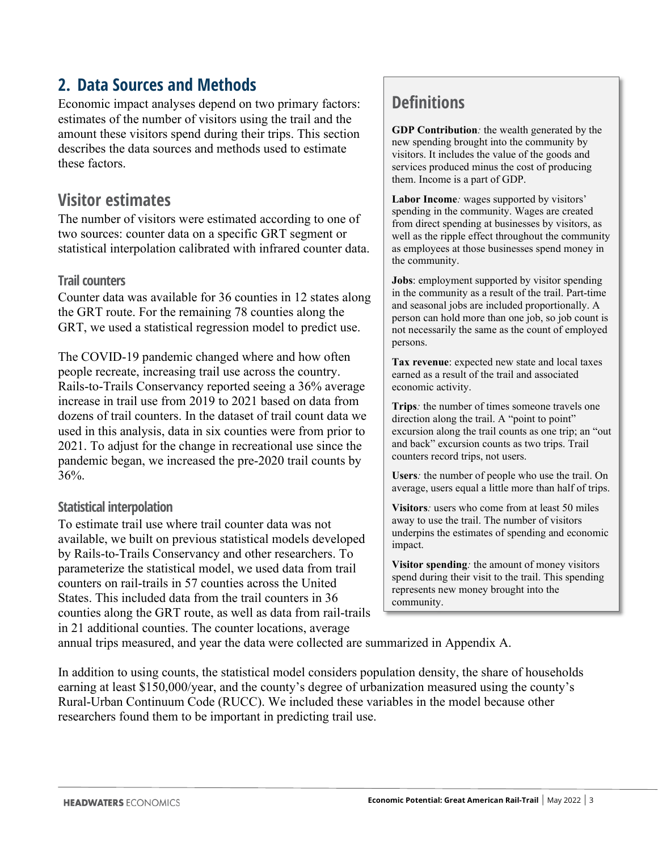### <span id="page-3-0"></span>**2. Data Sources and Methods**

Economic impact analyses depend on two primary factors: estimates of the number of visitors using the trail and the amount these visitors spend during their trips. This section describes the data sources and methods used to estimate these factors.

### <span id="page-3-2"></span>**Visitor estimates**

The number of visitors were estimated according to one of two sources: counter data on a specific GRT segment or statistical interpolation calibrated with infrared counter data.

#### **Trail counters**

Counter data was available for 36 counties in 12 states along the GRT route. For the remaining 78 counties along the GRT, we used a statistical regression model to predict use.

The COVID-19 pandemic changed where and how often people recreate, increasing trail use across the country. Rails-to-Trails Conservancy reported seeing a 36% average increase in trail use from 2019 to 2021 based on data from dozens of trail counters. In the dataset of trail count data we used in this analysis, data in six counties were from prior to 2021. To adjust for the change in recreational use since the pandemic began, we increased the pre-2020 trail counts by 36%.

#### **Statistical interpolation**

To estimate trail use where trail counter data was not available, we built on previous statistical models developed by Rails-to-Trails Conservancy and other researchers. To parameterize the statistical model, we used data from trail counters on rail-trails in 57 counties across the United States. This included data from the trail counters in 36 counties along the GRT route, as well as data from rail-trails in 21 additional counties. The counter locations, average

### <span id="page-3-1"></span>**Definitions**

**GDP Contribution***:* the wealth generated by the new spending brought into the community by visitors. It includes the value of the goods and services produced minus the cost of producing them. Income is a part of GDP.

**Labor Income***:* wages supported by visitors' spending in the community. Wages are created from direct spending at businesses by visitors, as well as the ripple effect throughout the community as employees at those businesses spend money in the community.

**Jobs**: employment supported by visitor spending in the community as a result of the trail. Part-time and seasonal jobs are included proportionally. A person can hold more than one job, so job count is not necessarily the same as the count of employed persons.

**Tax revenue**: expected new state and local taxes earned as a result of the trail and associated economic activity.

**Trips***:* the number of times someone travels one direction along the trail. A "point to point" excursion along the trail counts as one trip; an "out and back" excursion counts as two trips. Trail counters record trips, not users.

**Users***:* the number of people who use the trail. On average, users equal a little more than half of trips.

**Visitors***:* users who come from at least 50 miles away to use the trail. The number of visitors underpins the estimates of spending and economic impact.

**Visitor spending***:* the amount of money visitors spend during their visit to the trail. This spending represents new money brought into the community.

annual trips measured, and year the data were collected are summarized in Appendix A.

In addition to using counts, the statistical model considers population density, the share of households earning at least \$150,000/year, and the county's degree of urbanization measured using the county's Rural-Urban Continuum Code (RUCC). We included these variables in the model because other researchers found them to be important in predicting trail use.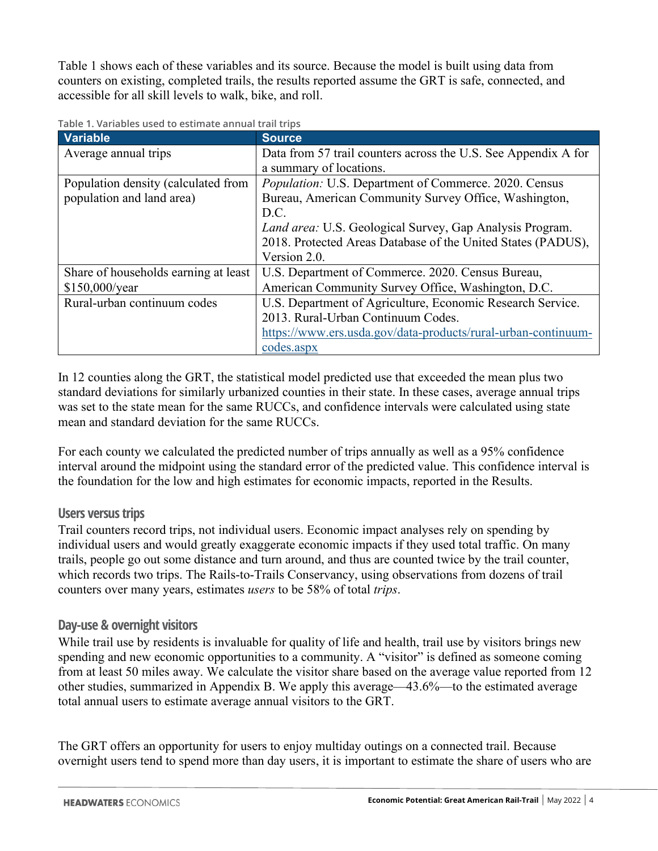Table 1 shows each of these variables and its source. Because the model is built using data from counters on existing, completed trails, the results reported assume the GRT is safe, connected, and accessible for all skill levels to walk, bike, and roll.

| <b>Variable</b>                      | <b>Source</b>                                                   |  |
|--------------------------------------|-----------------------------------------------------------------|--|
| Average annual trips                 | Data from 57 trail counters across the U.S. See Appendix A for  |  |
|                                      | a summary of locations.                                         |  |
| Population density (calculated from  | <i>Population:</i> U.S. Department of Commerce. 2020. Census    |  |
| population and land area)            | Bureau, American Community Survey Office, Washington,           |  |
|                                      | D.C.                                                            |  |
|                                      | <i>Land area:</i> U.S. Geological Survey, Gap Analysis Program. |  |
|                                      | 2018. Protected Areas Database of the United States (PADUS),    |  |
|                                      | Version 2.0.                                                    |  |
| Share of households earning at least | U.S. Department of Commerce. 2020. Census Bureau,               |  |
| \$150,000/year                       | American Community Survey Office, Washington, D.C.              |  |
| Rural-urban continuum codes          | U.S. Department of Agriculture, Economic Research Service.      |  |
|                                      | 2013. Rural-Urban Continuum Codes.                              |  |
|                                      | https://www.ers.usda.gov/data-products/rural-urban-continuum-   |  |
|                                      | codes.aspx                                                      |  |

**Table 1. Variables used to estimate annual trail trips**

In 12 counties along the GRT, the statistical model predicted use that exceeded the mean plus two standard deviations for similarly urbanized counties in their state. In these cases, average annual trips was set to the state mean for the same RUCCs, and confidence intervals were calculated using state mean and standard deviation for the same RUCCs.

For each county we calculated the predicted number of trips annually as well as a 95% confidence interval around the midpoint using the standard error of the predicted value. This confidence interval is the foundation for the low and high estimates for economic impacts, reported in the Results.

#### **Users versus trips**

Trail counters record trips, not individual users. Economic impact analyses rely on spending by individual users and would greatly exaggerate economic impacts if they used total traffic. On many trails, people go out some distance and turn around, and thus are counted twice by the trail counter, which records two trips. The Rails-to-Trails Conservancy, using observations from dozens of trail counters over many years, estimates *users* to be 58% of total *trips*.

#### **Day-use & overnight visitors**

While trail use by residents is invaluable for quality of life and health, trail use by visitors brings new spending and new economic opportunities to a community. A "visitor" is defined as someone coming from at least 50 miles away. We calculate the visitor share based on the average value reported from 12 other studies, summarized in Appendix B. We apply this average—43.6%—to the estimated average total annual users to estimate average annual visitors to the GRT.

The GRT offers an opportunity for users to enjoy multiday outings on a connected trail. Because overnight users tend to spend more than day users, it is important to estimate the share of users who are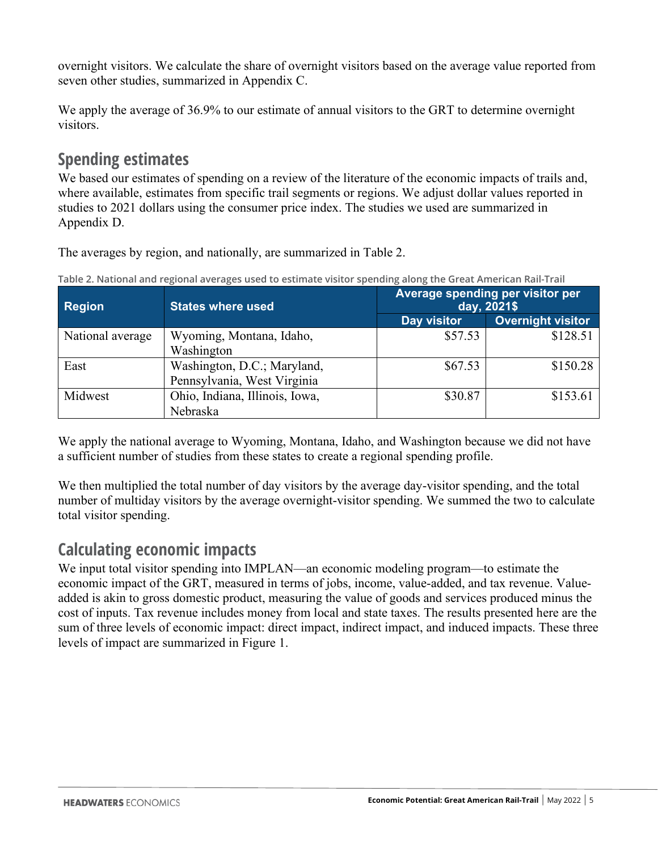overnight visitors. We calculate the share of overnight visitors based on the average value reported from seven other studies, summarized in Appendix C.

We apply the average of 36.9% to our estimate of annual visitors to the GRT to determine overnight visitors.

### <span id="page-5-0"></span>**Spending estimates**

We based our estimates of spending on a review of the literature of the economic impacts of trails and, where available, estimates from specific trail segments or regions. We adjust dollar values reported in studies to 2021 dollars using the consumer price index. The studies we used are summarized in Appendix D.

The averages by region, and nationally, are summarized in Table 2.

| <b>Region</b>    | <b>States where used</b>       | Average spending per visitor per<br>day, 2021\$ |                          |  |
|------------------|--------------------------------|-------------------------------------------------|--------------------------|--|
|                  |                                | Day visitor                                     | <b>Overnight visitor</b> |  |
| National average | Wyoming, Montana, Idaho,       | \$57.53                                         | \$128.51                 |  |
|                  | Washington                     |                                                 |                          |  |
| East             | Washington, D.C.; Maryland,    | \$67.53                                         | \$150.28                 |  |
|                  | Pennsylvania, West Virginia    |                                                 |                          |  |
| Midwest          | Ohio, Indiana, Illinois, Iowa, | \$30.87                                         | \$153.61                 |  |
|                  | Nebraska                       |                                                 |                          |  |

**Table 2. National and regional averages used to estimate visitor spending along the Great American Rail-Trail**

We apply the national average to Wyoming, Montana, Idaho, and Washington because we did not have a sufficient number of studies from these states to create a regional spending profile.

We then multiplied the total number of day visitors by the average day-visitor spending, and the total number of multiday visitors by the average overnight-visitor spending. We summed the two to calculate total visitor spending.

### <span id="page-5-1"></span>**Calculating economic impacts**

We input total visitor spending into IMPLAN—an economic modeling program—to estimate the economic impact of the GRT, measured in terms of jobs, income, value-added, and tax revenue. Valueadded is akin to gross domestic product, measuring the value of goods and services produced minus the cost of inputs. Tax revenue includes money from local and state taxes. The results presented here are the sum of three levels of economic impact: direct impact, indirect impact, and induced impacts. These three levels of impact are summarized in Figure 1.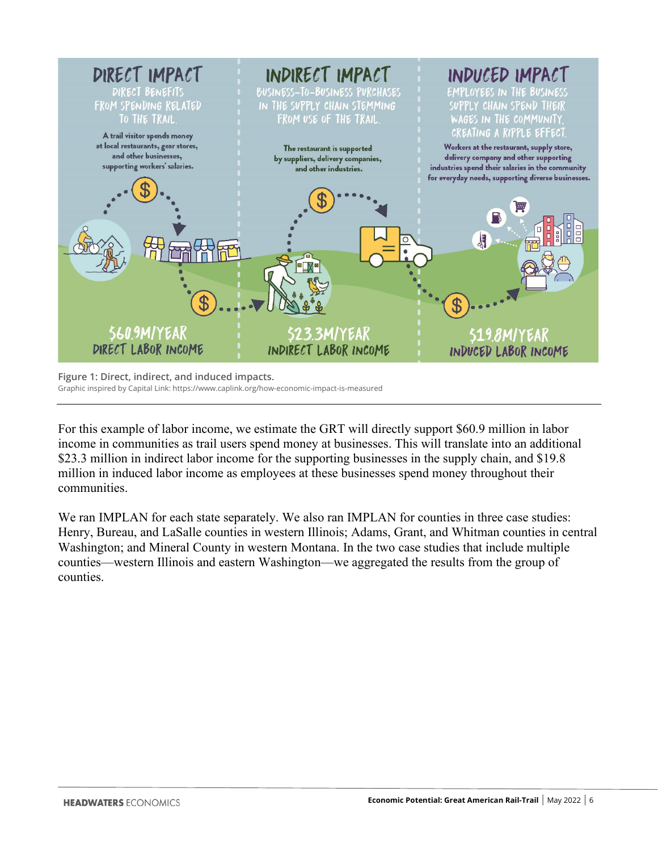

**Figure 1: Direct, indirect, and induced impacts.**  Graphic inspired by Capital Link: https://www.caplink.org/how-economic-impact-is-measured

For this example of labor income, we estimate the GRT will directly support \$60.9 million in labor income in communities as trail users spend money at businesses. This will translate into an additional \$23.3 million in indirect labor income for the supporting businesses in the supply chain, and \$19.8 million in induced labor income as employees at these businesses spend money throughout their communities.

We ran IMPLAN for each state separately. We also ran IMPLAN for counties in three case studies: Henry, Bureau, and LaSalle counties in western Illinois; Adams, Grant, and Whitman counties in central Washington; and Mineral County in western Montana. In the two case studies that include multiple counties—western Illinois and eastern Washington—we aggregated the results from the group of counties.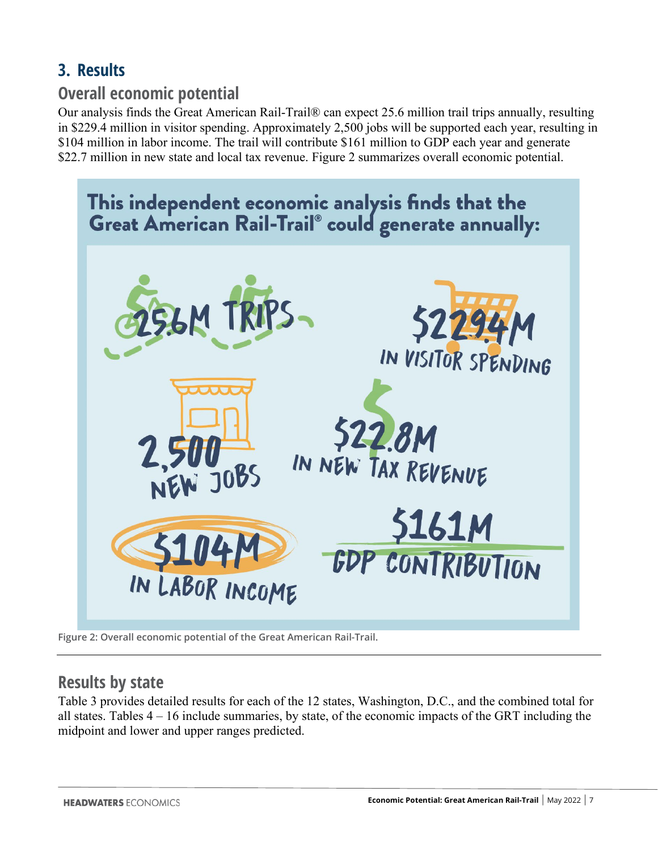### <span id="page-7-0"></span>**3. Results**

### <span id="page-7-1"></span>**Overall economic potential**

Our analysis finds the Great American Rail-Trail® can expect 25.6 million trail trips annually, resulting in \$229.4 million in visitor spending. Approximately 2,500 jobs will be supported each year, resulting in \$104 million in labor income. The trail will contribute \$161 million to GDP each year and generate \$22.7 million in new state and local tax revenue. Figure 2 summarizes overall economic potential.



**Figure 2: Overall economic potential of the Great American Rail-Trail.** 

### <span id="page-7-2"></span>**Results by state**

Table 3 provides detailed results for each of the 12 states, Washington, D.C., and the combined total for all states. Tables 4 – 16 include summaries, by state, of the economic impacts of the GRT including the midpoint and lower and upper ranges predicted.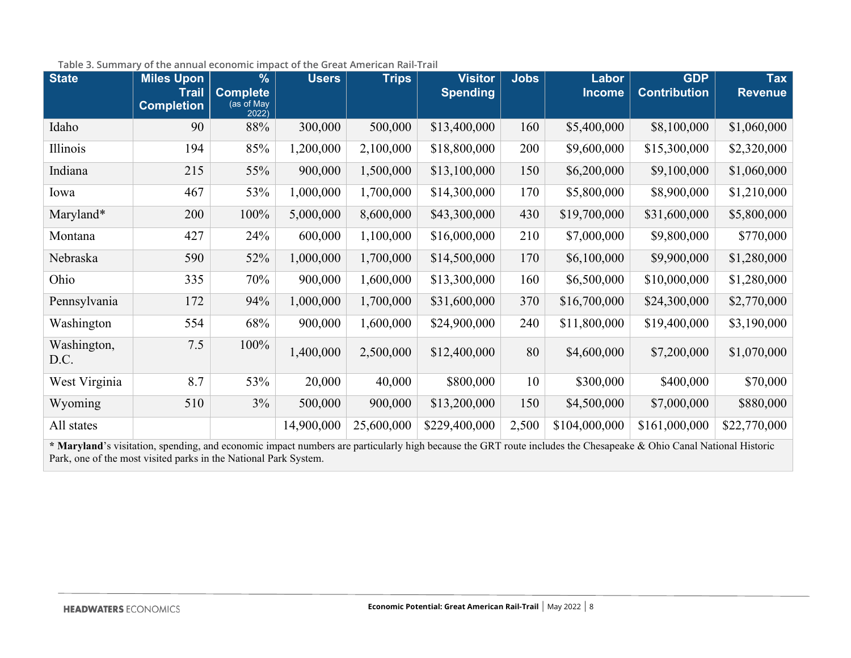| <b>State</b>        | <b>Miles Upon</b><br><b>Trail</b> | %<br><b>Complete</b> | <b>Users</b> | <b>Trips</b> | <b>Visitor</b><br><b>Spending</b> | <b>Jobs</b> | Labor<br><b>Income</b> | <b>GDP</b><br><b>Contribution</b> | <b>Tax</b><br><b>Revenue</b> |
|---------------------|-----------------------------------|----------------------|--------------|--------------|-----------------------------------|-------------|------------------------|-----------------------------------|------------------------------|
|                     | <b>Completion</b>                 | (as of May<br>2022)  |              |              |                                   |             |                        |                                   |                              |
| Idaho               | 90                                | 88%                  | 300,000      | 500,000      | \$13,400,000                      | 160         | \$5,400,000            | \$8,100,000                       | \$1,060,000                  |
| Illinois            | 194                               | 85%                  | 1,200,000    | 2,100,000    | \$18,800,000                      | 200         | \$9,600,000            | \$15,300,000                      | \$2,320,000                  |
| Indiana             | 215                               | 55%                  | 900,000      | 1,500,000    | \$13,100,000                      | 150         | \$6,200,000            | \$9,100,000                       | \$1,060,000                  |
| Iowa                | 467                               | 53%                  | 1,000,000    | 1,700,000    | \$14,300,000                      | 170         | \$5,800,000            | \$8,900,000                       | \$1,210,000                  |
| Maryland*           | 200                               | 100%                 | 5,000,000    | 8,600,000    | \$43,300,000                      | 430         | \$19,700,000           | \$31,600,000                      | \$5,800,000                  |
| Montana             | 427                               | 24%                  | 600,000      | 1,100,000    | \$16,000,000                      | 210         | \$7,000,000            | \$9,800,000                       | \$770,000                    |
| Nebraska            | 590                               | 52%                  | 1,000,000    | 1,700,000    | \$14,500,000                      | 170         | \$6,100,000            | \$9,900,000                       | \$1,280,000                  |
| Ohio                | 335                               | 70%                  | 900,000      | 1,600,000    | \$13,300,000                      | 160         | \$6,500,000            | \$10,000,000                      | \$1,280,000                  |
| Pennsylvania        | 172                               | 94%                  | 1,000,000    | 1,700,000    | \$31,600,000                      | 370         | \$16,700,000           | \$24,300,000                      | \$2,770,000                  |
| Washington          | 554                               | 68%                  | 900,000      | 1,600,000    | \$24,900,000                      | 240         | \$11,800,000           | \$19,400,000                      | \$3,190,000                  |
| Washington,<br>D.C. | 7.5                               | 100%                 | 1,400,000    | 2,500,000    | \$12,400,000                      | 80          | \$4,600,000            | \$7,200,000                       | \$1,070,000                  |
| West Virginia       | 8.7                               | 53%                  | 20,000       | 40,000       | \$800,000                         | 10          | \$300,000              | \$400,000                         | \$70,000                     |
| Wyoming             | 510                               | $3\%$                | 500,000      | 900,000      | \$13,200,000                      | 150         | \$4,500,000            | \$7,000,000                       | \$880,000                    |
| All states          |                                   |                      | 14,900,000   | 25,600,000   | \$229,400,000                     | 2,500       | \$104,000,000          | \$161,000,000                     | \$22,770,000                 |

#### **Table 3. Summary of the annual economic impact of the Great American Rail-Trail**

**\* Maryland**'s visitation, spending, and economic impact numbers are particularly high because the GRT route includes the Chesapeake & Ohio Canal National Historic Park, one of the most visited parks in the National Park System.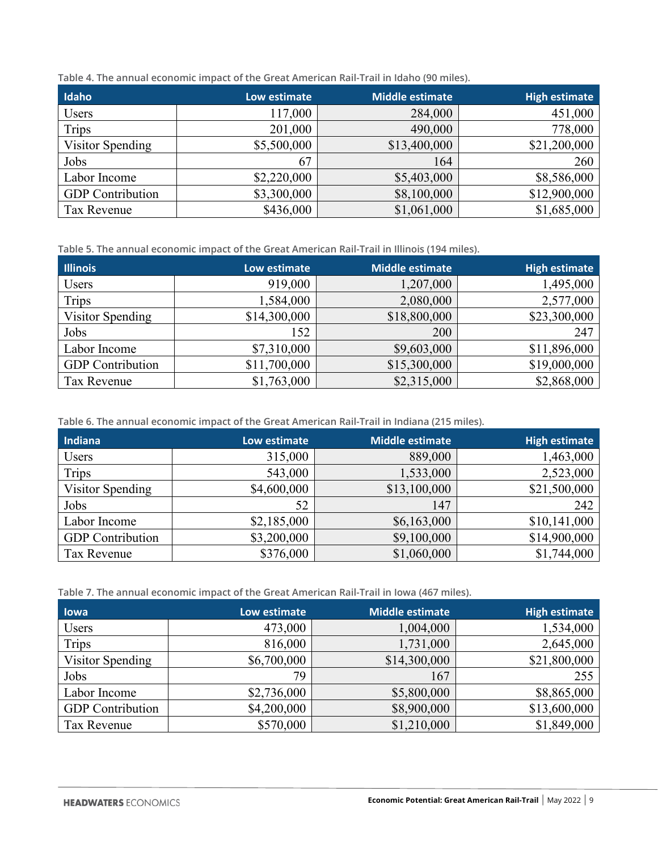|  | Table 4. The annual economic impact of the Great American Rail-Trail in Idaho (90 miles). |
|--|-------------------------------------------------------------------------------------------|
|--|-------------------------------------------------------------------------------------------|

| Idaho                   | Low estimate | <b>Middle estimate</b> | <b>High estimate</b> |
|-------------------------|--------------|------------------------|----------------------|
| Users                   | 117,000      | 284,000                | 451,000              |
| Trips                   | 201,000      | 490,000                | 778,000              |
| Visitor Spending        | \$5,500,000  | \$13,400,000           | \$21,200,000         |
| Jobs                    | 67           | 164                    | 260                  |
| Labor Income            | \$2,220,000  | \$5,403,000            | \$8,586,000          |
| <b>GDP</b> Contribution | \$3,300,000  | \$8,100,000            | \$12,900,000         |
| Tax Revenue             | \$436,000    | \$1,061,000            | \$1,685,000          |

**Table 5. The annual economic impact of the Great American Rail-Trail in Illinois (194 miles).**

| <b>Illinois</b>         | Low estimate | <b>Middle estimate</b> | <b>High estimate</b> |
|-------------------------|--------------|------------------------|----------------------|
| Users                   | 919,000      | 1,207,000              | 1,495,000            |
| <b>Trips</b>            | 1,584,000    | 2,080,000              | 2,577,000            |
| Visitor Spending        | \$14,300,000 | \$18,800,000           | \$23,300,000         |
| Jobs                    | 152          | 200                    | 247                  |
| Labor Income            | \$7,310,000  | \$9,603,000            | \$11,896,000         |
| <b>GDP</b> Contribution | \$11,700,000 | \$15,300,000           | \$19,000,000         |
| Tax Revenue             | \$1,763,000  | \$2,315,000            | \$2,868,000          |

**Table 6. The annual economic impact of the Great American Rail-Trail in Indiana (215 miles).**

| Indiana                 | Low estimate | <b>Middle estimate</b> | <b>High estimate</b> |
|-------------------------|--------------|------------------------|----------------------|
| Users                   | 315,000      | 889,000                | 1,463,000            |
| <b>Trips</b>            | 543,000      | 1,533,000              | 2,523,000            |
| Visitor Spending        | \$4,600,000  | \$13,100,000           | \$21,500,000         |
| Jobs                    | 52           | 147                    | 242                  |
| Labor Income            | \$2,185,000  | \$6,163,000            | \$10,141,000         |
| <b>GDP</b> Contribution | \$3,200,000  | \$9,100,000            | \$14,900,000         |
| Tax Revenue             | \$376,000    | \$1,060,000            | \$1,744,000          |

**Table 7. The annual economic impact of the Great American Rail-Trail in Iowa (467 miles).** 

| lowa                    | Low estimate | <b>Middle estimate</b> | <b>High estimate</b> |
|-------------------------|--------------|------------------------|----------------------|
| Users                   | 473,000      | 1,004,000              | 1,534,000            |
| Trips                   | 816,000      | 1,731,000              | 2,645,000            |
| Visitor Spending        | \$6,700,000  | \$14,300,000           | \$21,800,000         |
| Jobs                    | 79           | 167                    | 255                  |
| Labor Income            | \$2,736,000  | \$5,800,000            | \$8,865,000          |
| <b>GDP</b> Contribution | \$4,200,000  | \$8,900,000            | \$13,600,000         |
| <b>Tax Revenue</b>      | \$570,000    | \$1,210,000            | \$1,849,000          |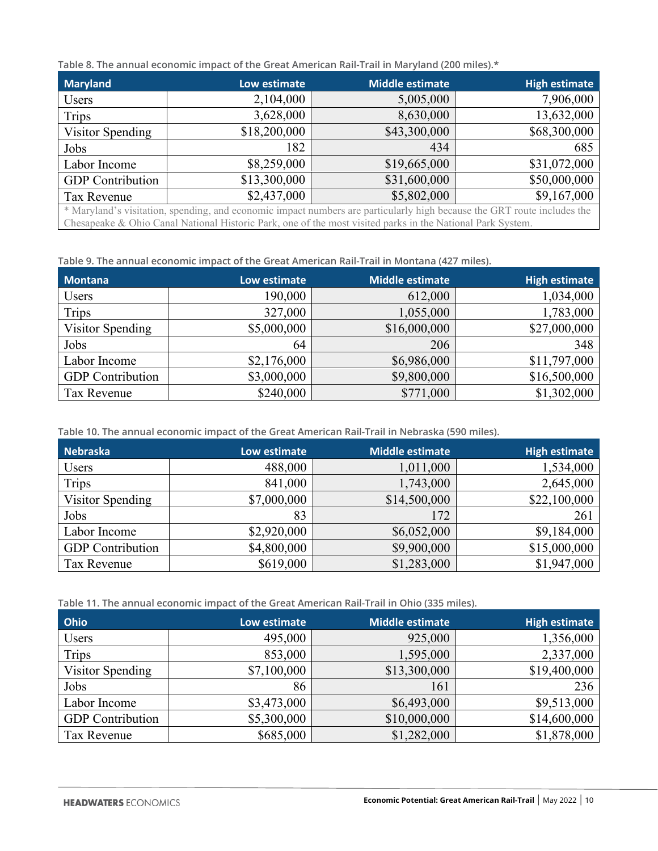**Table 8. The annual economic impact of the Great American Rail-Trail in Maryland (200 miles).\***

| <b>Maryland</b>                                                                                                         | Low estimate | <b>Middle estimate</b> | <b>High estimate</b> |
|-------------------------------------------------------------------------------------------------------------------------|--------------|------------------------|----------------------|
| Users                                                                                                                   | 2,104,000    | 5,005,000              | 7,906,000            |
| <b>Trips</b>                                                                                                            | 3,628,000    | 8,630,000              | 13,632,000           |
| Visitor Spending                                                                                                        | \$18,200,000 | \$43,300,000           | \$68,300,000         |
| Jobs                                                                                                                    | 182          | 434                    | 685                  |
| Labor Income                                                                                                            | \$8,259,000  | \$19,665,000           | \$31,072,000         |
| <b>GDP</b> Contribution                                                                                                 | \$13,300,000 | \$31,600,000           | \$50,000,000         |
| Tax Revenue                                                                                                             | \$2,437,000  | \$5,802,000            | \$9,167,000          |
| * Maryland's visitation, spending, and economic impact numbers are particularly high because the GRT route includes the |              |                        |                      |
| Chesapeake & Ohio Canal National Historic Park, one of the most visited parks in the National Park System.              |              |                        |                      |

**Table 9. The annual economic impact of the Great American Rail-Trail in Montana (427 miles).**

| <b>Montana</b>          | Low estimate | Middle estimate | <b>High estimate</b> |
|-------------------------|--------------|-----------------|----------------------|
| Users                   | 190,000      | 612,000         | 1,034,000            |
| <b>Trips</b>            | 327,000      | 1,055,000       | 1,783,000            |
| Visitor Spending        | \$5,000,000  | \$16,000,000    | \$27,000,000         |
| Jobs                    | 64           | 206             | 348                  |
| Labor Income            | \$2,176,000  | \$6,986,000     | \$11,797,000         |
| <b>GDP</b> Contribution | \$3,000,000  | \$9,800,000     | \$16,500,000         |
| Tax Revenue             | \$240,000    | \$771,000       | \$1,302,000          |

**Table 10. The annual economic impact of the Great American Rail-Trail in Nebraska (590 miles).**

| Nebraska                | Low estimate | <b>Middle estimate</b> | <b>High estimate</b> |
|-------------------------|--------------|------------------------|----------------------|
| Users                   | 488,000      | 1,011,000              | 1,534,000            |
| Trips                   | 841,000      | 1,743,000              | 2,645,000            |
| Visitor Spending        | \$7,000,000  | \$14,500,000           | \$22,100,000         |
| Jobs                    | 83           | 172                    | 261                  |
| Labor Income            | \$2,920,000  | \$6,052,000            | \$9,184,000          |
| <b>GDP</b> Contribution | \$4,800,000  | \$9,900,000            | \$15,000,000         |
| Tax Revenue             | \$619,000    | \$1,283,000            | \$1,947,000          |

**Table 11. The annual economic impact of the Great American Rail-Trail in Ohio (335 miles).** 

| Ohio                    | Low estimate | <b>Middle estimate</b> | <b>High estimate</b> |
|-------------------------|--------------|------------------------|----------------------|
| Users                   | 495,000      | 925,000                | 1,356,000            |
| Trips                   | 853,000      | 1,595,000              | 2,337,000            |
| Visitor Spending        | \$7,100,000  | \$13,300,000           | \$19,400,000         |
| Jobs                    | 86           | 161                    | 236                  |
| Labor Income            | \$3,473,000  | \$6,493,000            | \$9,513,000          |
| <b>GDP</b> Contribution | \$5,300,000  | \$10,000,000           | \$14,600,000         |
| <b>Tax Revenue</b>      | \$685,000    | \$1,282,000            | \$1,878,000          |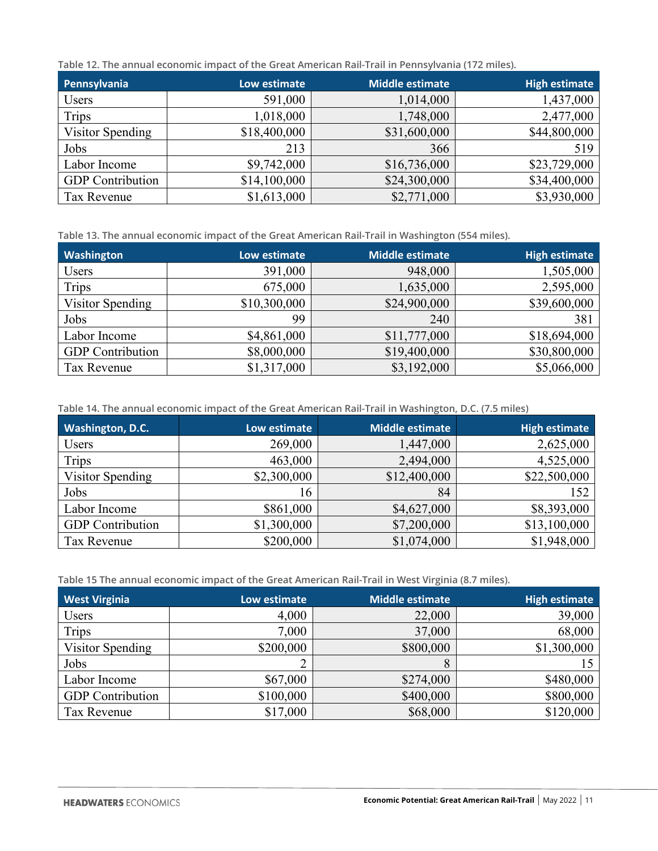**Table 12. The annual economic impact of the Great American Rail-Trail in Pennsylvania (172 miles).**

| Pennsylvania            | Low estimate | Middle estimate | <b>High estimate</b> |
|-------------------------|--------------|-----------------|----------------------|
| Users                   | 591,000      | 1,014,000       | 1,437,000            |
| <b>Trips</b>            | 1,018,000    | 1,748,000       | 2,477,000            |
| Visitor Spending        | \$18,400,000 | \$31,600,000    | \$44,800,000         |
| Jobs                    | 213          | 366             | 519                  |
| Labor Income            | \$9,742,000  | \$16,736,000    | \$23,729,000         |
| <b>GDP</b> Contribution | \$14,100,000 | \$24,300,000    | \$34,400,000         |
| Tax Revenue             | \$1,613,000  | \$2,771,000     | \$3,930,000          |

**Table 13. The annual economic impact of the Great American Rail-Trail in Washington (554 miles).**

| Washington              | Low estimate | <b>Middle estimate</b> | <b>High estimate</b> |
|-------------------------|--------------|------------------------|----------------------|
| Users                   | 391,000      | 948,000                | 1,505,000            |
| Trips                   | 675,000      | 1,635,000              | 2,595,000            |
| Visitor Spending        | \$10,300,000 | \$24,900,000           | \$39,600,000         |
| Jobs                    | 99           | 240                    | 381                  |
| Labor Income            | \$4,861,000  | \$11,777,000           | \$18,694,000         |
| <b>GDP</b> Contribution | \$8,000,000  | \$19,400,000           | \$30,800,000         |
| <b>Tax Revenue</b>      | \$1,317,000  | \$3,192,000            | \$5,066,000          |

**Table 14. The annual economic impact of the Great American Rail-Trail in Washington, D.C. (7.5 miles)**

| <b>Washington, D.C.</b> | Low estimate | <b>Middle estimate</b> | <b>High estimate</b> |
|-------------------------|--------------|------------------------|----------------------|
| Users                   | 269,000      | 1,447,000              | 2,625,000            |
| <b>Trips</b>            | 463,000      | 2,494,000              | 4,525,000            |
| Visitor Spending        | \$2,300,000  | \$12,400,000           | \$22,500,000         |
| Jobs                    | 16           | 84                     | 152                  |
| Labor Income            | \$861,000    | \$4,627,000            | \$8,393,000          |
| <b>GDP</b> Contribution | \$1,300,000  | \$7,200,000            | \$13,100,000         |
| Tax Revenue             | \$200,000    | \$1,074,000            | \$1,948,000          |

**Table 15 The annual economic impact of the Great American Rail-Trail in West Virginia (8.7 miles).**

| <b>West Virginia</b>    | Low estimate | <b>Middle estimate</b> | <b>High estimate</b> |
|-------------------------|--------------|------------------------|----------------------|
| Users                   | 4,000        | 22,000                 | 39,000               |
| <b>Trips</b>            | 7,000        | 37,000                 | 68,000               |
| Visitor Spending        | \$200,000    | \$800,000              | \$1,300,000          |
| Jobs                    |              |                        |                      |
| Labor Income            | \$67,000     | \$274,000              | \$480,000            |
| <b>GDP</b> Contribution | \$100,000    | \$400,000              | \$800,000            |
| Tax Revenue             | \$17,000     | \$68,000               | \$120,000            |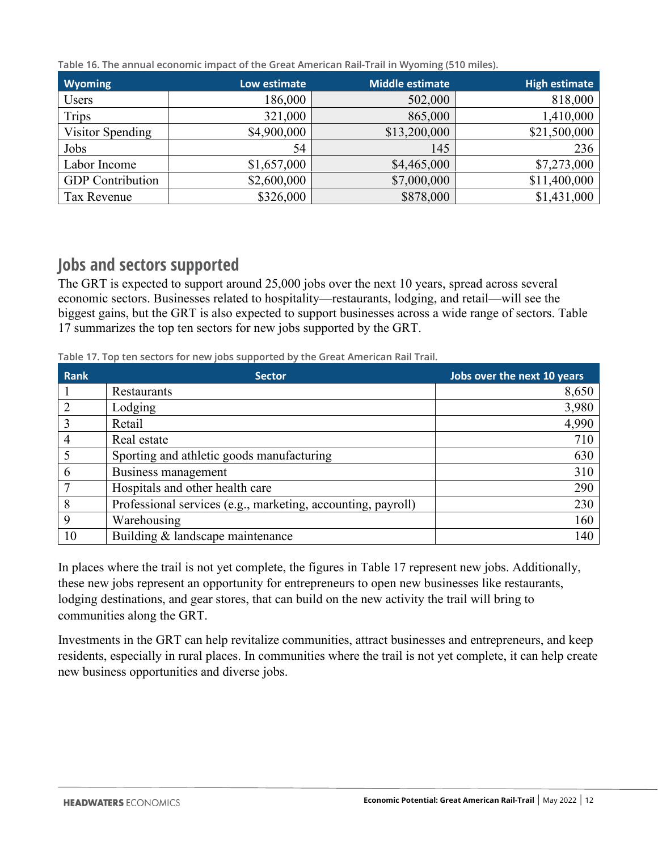**Table 16. The annual economic impact of the Great American Rail-Trail in Wyoming (510 miles).**

| <b>Wyoming</b>          | Low estimate | <b>Middle estimate</b> | <b>High estimate</b> |
|-------------------------|--------------|------------------------|----------------------|
| Users                   | 186,000      | 502,000                | 818,000              |
| Trips                   | 321,000      | 865,000                | 1,410,000            |
| Visitor Spending        | \$4,900,000  | \$13,200,000           | \$21,500,000         |
| Jobs                    | 54           | 145                    | 236                  |
| Labor Income            | \$1,657,000  | \$4,465,000            | \$7,273,000          |
| <b>GDP</b> Contribution | \$2,600,000  | \$7,000,000            | \$11,400,000         |
| Tax Revenue             | \$326,000    | \$878,000              | \$1,431,000          |

### <span id="page-12-0"></span>**Jobs and sectors supported**

The GRT is expected to support around 25,000 jobs over the next 10 years, spread across several economic sectors. Businesses related to hospitality—restaurants, lodging, and retail—will see the biggest gains, but the GRT is also expected to support businesses across a wide range of sectors. Table 17 summarizes the top ten sectors for new jobs supported by the GRT.

**Table 17. Top ten sectors for new jobs supported by the Great American Rail Trail.**

| Rank           | <b>Sector</b>                                                | Jobs over the next 10 years |
|----------------|--------------------------------------------------------------|-----------------------------|
|                | Restaurants                                                  | 8,650                       |
| 2              | Lodging                                                      | 3,980                       |
| 3              | Retail                                                       | 4,990                       |
| $\overline{4}$ | Real estate                                                  | 710                         |
|                | Sporting and athletic goods manufacturing                    | 630                         |
| 6              | Business management                                          | 310                         |
| 7              | Hospitals and other health care                              | 290                         |
| 8              | Professional services (e.g., marketing, accounting, payroll) | 230                         |
| 9              | Warehousing                                                  | 160                         |
| 10             | Building & landscape maintenance                             | 140                         |

In places where the trail is not yet complete, the figures in Table 17 represent new jobs. Additionally, these new jobs represent an opportunity for entrepreneurs to open new businesses like restaurants, lodging destinations, and gear stores, that can build on the new activity the trail will bring to communities along the GRT.

Investments in the GRT can help revitalize communities, attract businesses and entrepreneurs, and keep residents, especially in rural places. In communities where the trail is not yet complete, it can help create new business opportunities and diverse jobs.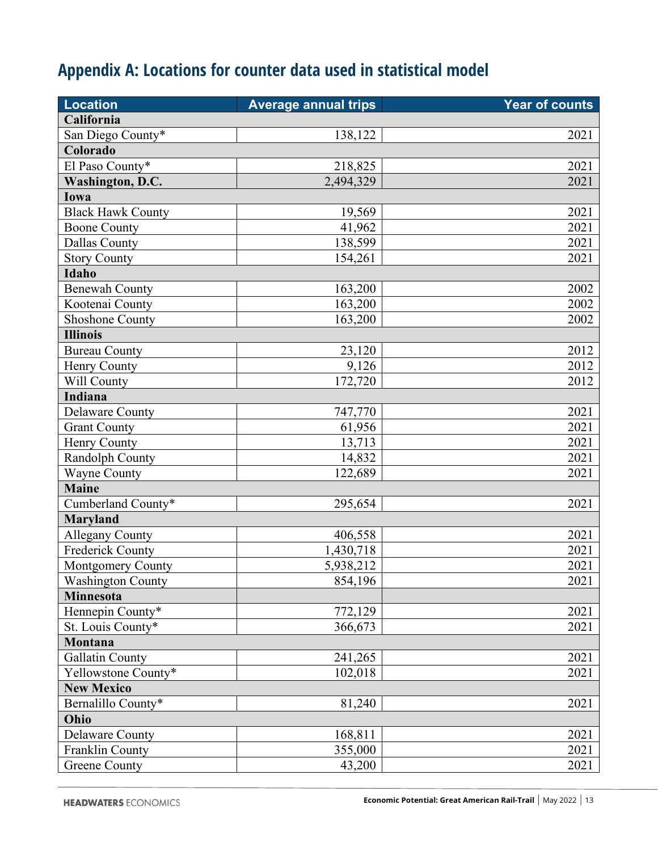# <span id="page-13-0"></span>**Appendix A: Locations for counter data used in statistical model**

| <b>Location</b>          | <b>Average annual trips</b> | Year of counts |
|--------------------------|-----------------------------|----------------|
| California               |                             |                |
| San Diego County*        | 138,122                     | 2021           |
| Colorado                 |                             |                |
| El Paso County*          | 218,825                     | 2021           |
| Washington, D.C.         | 2,494,329                   | 2021           |
| Iowa                     |                             |                |
| <b>Black Hawk County</b> | 19,569                      | 2021           |
| <b>Boone County</b>      | 41,962                      | 2021           |
| <b>Dallas County</b>     | 138,599                     | 2021           |
| <b>Story County</b>      | 154,261                     | 2021           |
| Idaho                    |                             |                |
| <b>Benewah County</b>    | 163,200                     | 2002           |
| Kootenai County          | 163,200                     | 2002           |
| <b>Shoshone County</b>   | 163,200                     | 2002           |
| <b>Illinois</b>          |                             |                |
| <b>Bureau County</b>     | 23,120                      | 2012           |
| Henry County             | 9,126                       | 2012           |
| Will County              | 172,720                     | 2012           |
| <b>Indiana</b>           |                             |                |
| <b>Delaware County</b>   | 747,770                     | 2021           |
| <b>Grant County</b>      | 61,956                      | 2021           |
| Henry County             | 13,713                      | 2021           |
| Randolph County          | 14,832                      | 2021           |
| <b>Wayne County</b>      | 122,689                     | 2021           |
| <b>Maine</b>             |                             |                |
| Cumberland County*       | 295,654                     | 2021           |
| <b>Maryland</b>          |                             |                |
| <b>Allegany County</b>   | 406,558                     | 2021           |
| <b>Frederick County</b>  | 1,430,718                   | 2021           |
| Montgomery County        | 5,938,212                   | 2021           |
| <b>Washington County</b> | 854,196                     | 2021           |
| Minnesota                |                             |                |
| Hennepin County*         | 772,129                     | 2021           |
| St. Louis County*        | 366,673                     | 2021           |
| Montana                  |                             |                |
| <b>Gallatin County</b>   | 241,265                     | 2021           |
| Yellowstone County*      | 102,018                     | 2021           |
| <b>New Mexico</b>        |                             |                |
| Bernalillo County*       | 81,240                      | 2021           |
| Ohio                     |                             |                |
| Delaware County          | 168,811                     | 2021           |
| Franklin County          | 355,000                     | 2021           |
| <b>Greene County</b>     | 43,200                      | 2021           |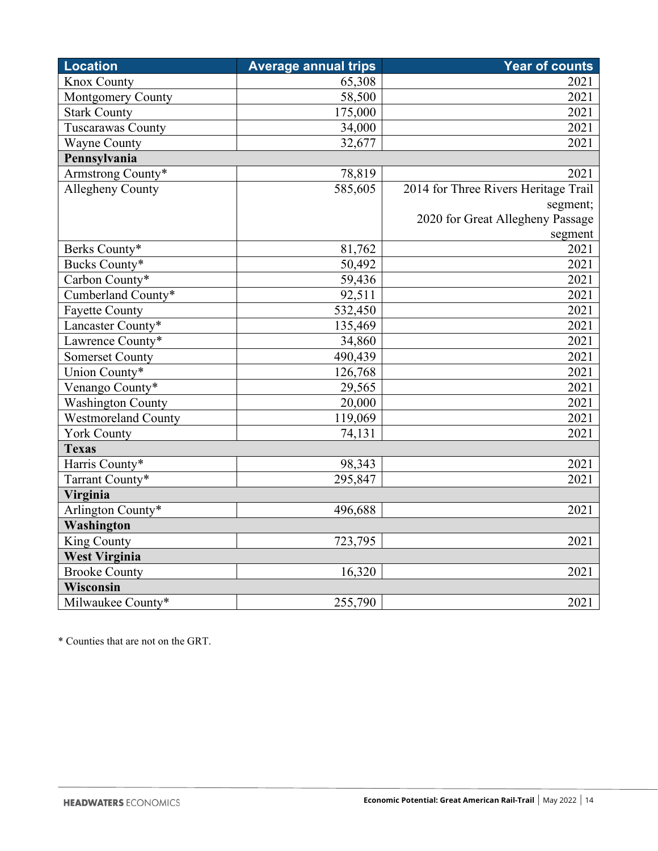| <b>Location</b>          | <b>Average annual trips</b> | <b>Year of counts</b>                |
|--------------------------|-----------------------------|--------------------------------------|
| <b>Knox County</b>       | 65,308                      | 2021                                 |
| <b>Montgomery County</b> | 58,500                      | 2021                                 |
| <b>Stark County</b>      | 175,000                     | 2021                                 |
| <b>Tuscarawas County</b> | 34,000                      | 2021                                 |
| <b>Wayne County</b>      | 32,677                      | 2021                                 |
| Pennsylvania             |                             |                                      |
| Armstrong County*        | 78,819                      | 2021                                 |
| <b>Allegheny County</b>  | 585,605                     | 2014 for Three Rivers Heritage Trail |
|                          |                             | segment;                             |
|                          |                             | 2020 for Great Allegheny Passage     |
|                          |                             | segment                              |
| Berks County*            | 81,762                      | 2021                                 |
| Bucks County*            | 50,492                      | 2021                                 |
| Carbon County*           | 59,436                      | 2021                                 |
| Cumberland County*       | 92,511                      | 2021                                 |
| <b>Fayette County</b>    | 532,450                     | 2021                                 |
| Lancaster County*        | 135,469                     | 2021                                 |
| Lawrence County*         | 34,860                      | 2021                                 |
| <b>Somerset County</b>   | 490,439                     | 2021                                 |
| Union County*            | 126,768                     | 2021                                 |
| Venango County*          | 29,565                      | 2021                                 |
| <b>Washington County</b> | 20,000                      | 2021                                 |
| Westmoreland County      | 119,069                     | 2021                                 |
| <b>York County</b>       | 74,131                      | 2021                                 |
| <b>Texas</b>             |                             |                                      |
| Harris County*           | 98,343                      | 2021                                 |
| Tarrant County*          | 295,847                     | 2021                                 |
| Virginia                 |                             |                                      |
| Arlington County*        | 496,688                     | 2021                                 |
| Washington               |                             |                                      |
| King County              | 723,795                     | 2021                                 |
| <b>West Virginia</b>     |                             |                                      |
| <b>Brooke County</b>     | 16,320                      | 2021                                 |
| Wisconsin                |                             |                                      |
| Milwaukee County*        | 255,790                     | 2021                                 |

\* Counties that are not on the GRT.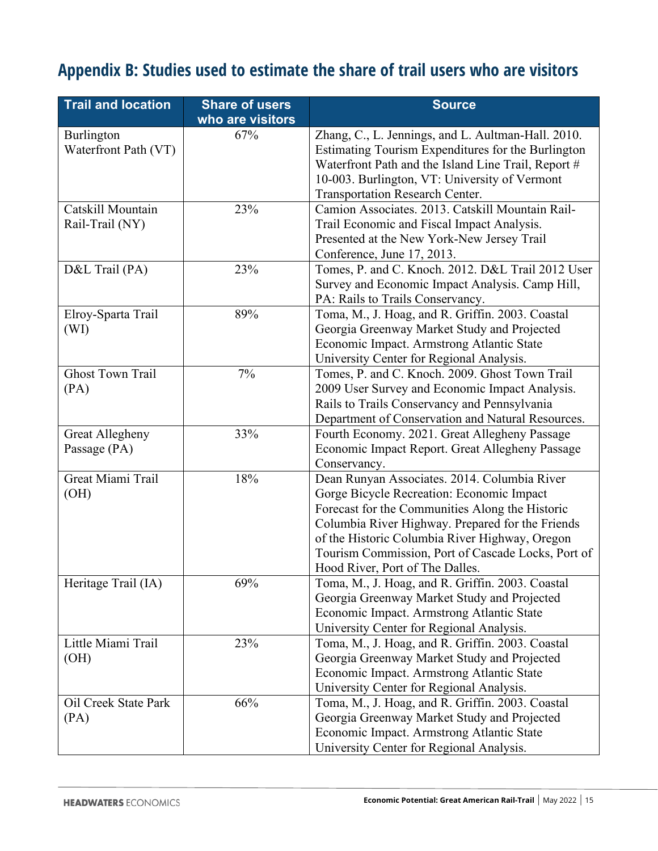# <span id="page-15-0"></span>**Appendix B: Studies used to estimate the share of trail users who are visitors**

| <b>Trail and location</b>              | <b>Share of users</b><br>who are visitors | <b>Source</b>                                                                                                                                                                                                                                                                                                                               |
|----------------------------------------|-------------------------------------------|---------------------------------------------------------------------------------------------------------------------------------------------------------------------------------------------------------------------------------------------------------------------------------------------------------------------------------------------|
| Burlington<br>Waterfront Path (VT)     | 67%                                       | Zhang, C., L. Jennings, and L. Aultman-Hall. 2010.<br>Estimating Tourism Expenditures for the Burlington<br>Waterfront Path and the Island Line Trail, Report #<br>10-003. Burlington, VT: University of Vermont<br>Transportation Research Center.                                                                                         |
| Catskill Mountain<br>Rail-Trail (NY)   | 23%                                       | Camion Associates. 2013. Catskill Mountain Rail-<br>Trail Economic and Fiscal Impact Analysis.<br>Presented at the New York-New Jersey Trail<br>Conference, June 17, 2013.                                                                                                                                                                  |
| D&L Trail (PA)                         | 23%                                       | Tomes, P. and C. Knoch. 2012. D&L Trail 2012 User<br>Survey and Economic Impact Analysis. Camp Hill,<br>PA: Rails to Trails Conservancy.                                                                                                                                                                                                    |
| Elroy-Sparta Trail<br>(WI)             | 89%                                       | Toma, M., J. Hoag, and R. Griffin. 2003. Coastal<br>Georgia Greenway Market Study and Projected<br>Economic Impact. Armstrong Atlantic State<br>University Center for Regional Analysis.                                                                                                                                                    |
| <b>Ghost Town Trail</b><br>(PA)        | 7%                                        | Tomes, P. and C. Knoch. 2009. Ghost Town Trail<br>2009 User Survey and Economic Impact Analysis.<br>Rails to Trails Conservancy and Pennsylvania<br>Department of Conservation and Natural Resources.                                                                                                                                       |
| <b>Great Allegheny</b><br>Passage (PA) | 33%                                       | Fourth Economy. 2021. Great Allegheny Passage<br>Economic Impact Report. Great Allegheny Passage<br>Conservancy.                                                                                                                                                                                                                            |
| Great Miami Trail<br>(OH)              | 18%                                       | Dean Runyan Associates. 2014. Columbia River<br>Gorge Bicycle Recreation: Economic Impact<br>Forecast for the Communities Along the Historic<br>Columbia River Highway. Prepared for the Friends<br>of the Historic Columbia River Highway, Oregon<br>Tourism Commission, Port of Cascade Locks, Port of<br>Hood River, Port of The Dalles. |
| Heritage Trail (IA)                    | 69%                                       | Toma, M., J. Hoag, and R. Griffin. 2003. Coastal<br>Georgia Greenway Market Study and Projected<br>Economic Impact. Armstrong Atlantic State<br>University Center for Regional Analysis.                                                                                                                                                    |
| Little Miami Trail<br>(OH)             | 23%                                       | Toma, M., J. Hoag, and R. Griffin. 2003. Coastal<br>Georgia Greenway Market Study and Projected<br>Economic Impact. Armstrong Atlantic State<br>University Center for Regional Analysis.                                                                                                                                                    |
| Oil Creek State Park<br>(PA)           | 66%                                       | Toma, M., J. Hoag, and R. Griffin. 2003. Coastal<br>Georgia Greenway Market Study and Projected<br>Economic Impact. Armstrong Atlantic State<br>University Center for Regional Analysis.                                                                                                                                                    |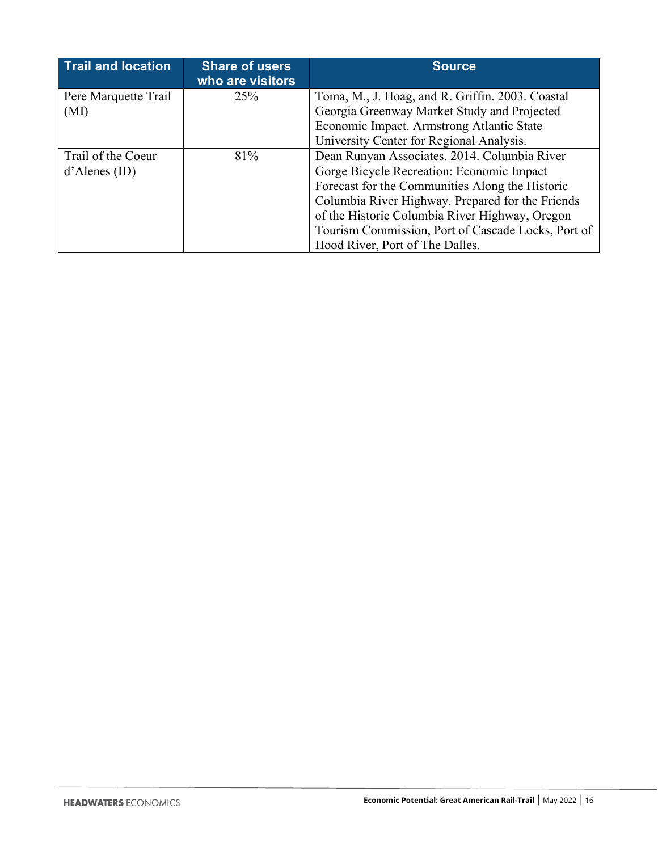| <b>Trail and location</b>              | <b>Share of users</b><br>who are visitors | <b>Source</b>                                                                                                                                                                                                                                                                                                                               |
|----------------------------------------|-------------------------------------------|---------------------------------------------------------------------------------------------------------------------------------------------------------------------------------------------------------------------------------------------------------------------------------------------------------------------------------------------|
| Pere Marquette Trail<br>(MI)           | 25%                                       | Toma, M., J. Hoag, and R. Griffin. 2003. Coastal<br>Georgia Greenway Market Study and Projected<br>Economic Impact. Armstrong Atlantic State<br>University Center for Regional Analysis.                                                                                                                                                    |
| Trail of the Coeur<br>$d'A$ lenes (ID) | 81%                                       | Dean Runyan Associates. 2014. Columbia River<br>Gorge Bicycle Recreation: Economic Impact<br>Forecast for the Communities Along the Historic<br>Columbia River Highway. Prepared for the Friends<br>of the Historic Columbia River Highway, Oregon<br>Tourism Commission, Port of Cascade Locks, Port of<br>Hood River, Port of The Dalles. |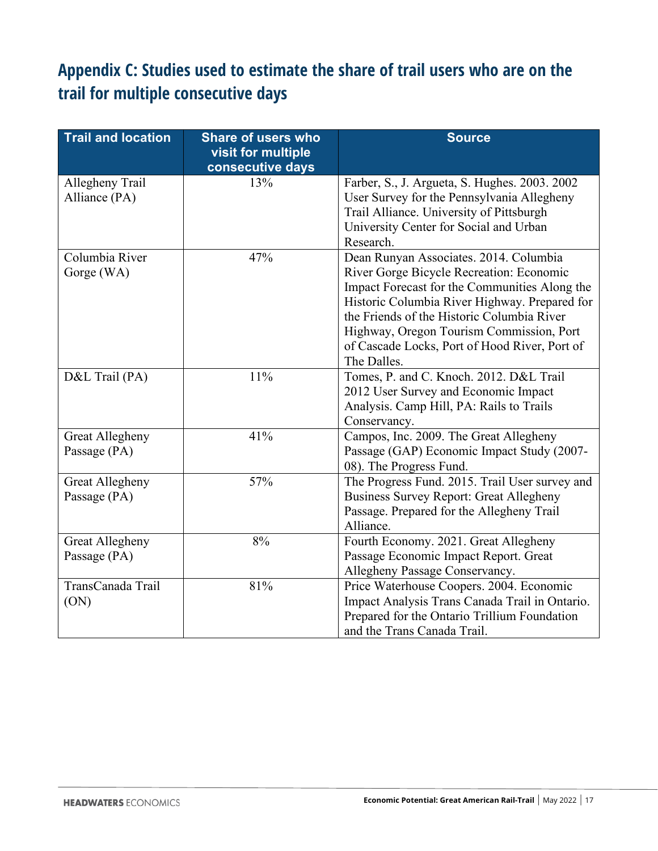## <span id="page-17-0"></span>**Appendix C: Studies used to estimate the share of trail users who are on the trail for multiple consecutive days**

| <b>Trail and location</b>              | <b>Share of users who</b><br>visit for multiple<br>consecutive days | <b>Source</b>                                                                                                                                                                                                                                                                                                                                  |
|----------------------------------------|---------------------------------------------------------------------|------------------------------------------------------------------------------------------------------------------------------------------------------------------------------------------------------------------------------------------------------------------------------------------------------------------------------------------------|
| Allegheny Trail<br>Alliance (PA)       | 13%                                                                 | Farber, S., J. Argueta, S. Hughes. 2003. 2002<br>User Survey for the Pennsylvania Allegheny<br>Trail Alliance. University of Pittsburgh<br>University Center for Social and Urban<br>Research.                                                                                                                                                 |
| Columbia River<br>Gorge (WA)           | 47%                                                                 | Dean Runyan Associates. 2014. Columbia<br>River Gorge Bicycle Recreation: Economic<br>Impact Forecast for the Communities Along the<br>Historic Columbia River Highway. Prepared for<br>the Friends of the Historic Columbia River<br>Highway, Oregon Tourism Commission, Port<br>of Cascade Locks, Port of Hood River, Port of<br>The Dalles. |
| D&L Trail (PA)                         | 11%                                                                 | Tomes, P. and C. Knoch. 2012. D&L Trail<br>2012 User Survey and Economic Impact<br>Analysis. Camp Hill, PA: Rails to Trails<br>Conservancy.                                                                                                                                                                                                    |
| <b>Great Allegheny</b><br>Passage (PA) | 41%                                                                 | Campos, Inc. 2009. The Great Allegheny<br>Passage (GAP) Economic Impact Study (2007-<br>08). The Progress Fund.                                                                                                                                                                                                                                |
| <b>Great Allegheny</b><br>Passage (PA) | 57%                                                                 | The Progress Fund. 2015. Trail User survey and<br><b>Business Survey Report: Great Allegheny</b><br>Passage. Prepared for the Allegheny Trail<br>Alliance.                                                                                                                                                                                     |
| <b>Great Allegheny</b><br>Passage (PA) | 8%                                                                  | Fourth Economy. 2021. Great Allegheny<br>Passage Economic Impact Report. Great<br>Allegheny Passage Conservancy.                                                                                                                                                                                                                               |
| TransCanada Trail<br>(ON)              | $81\%$                                                              | Price Waterhouse Coopers. 2004. Economic<br>Impact Analysis Trans Canada Trail in Ontario.<br>Prepared for the Ontario Trillium Foundation<br>and the Trans Canada Trail.                                                                                                                                                                      |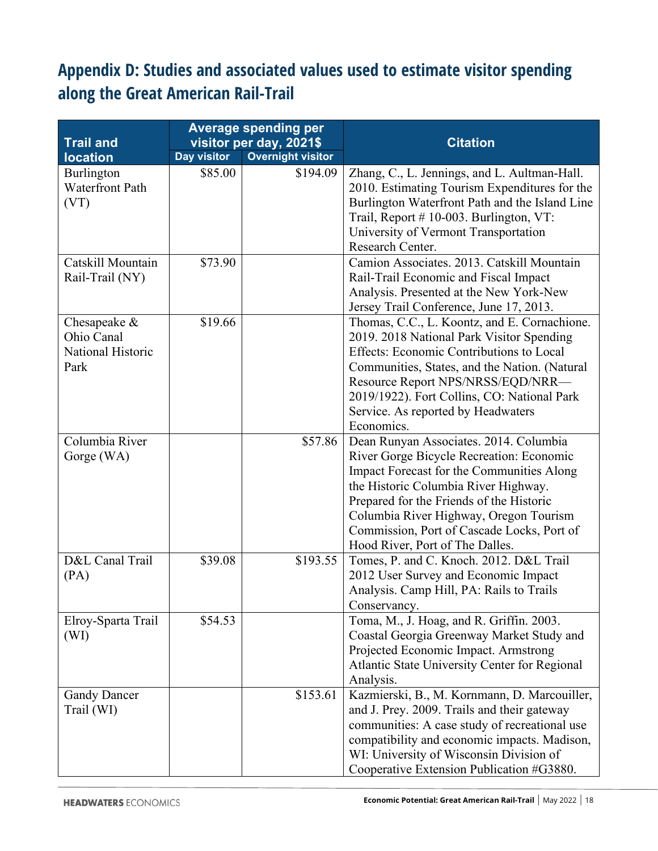## <span id="page-18-0"></span>**Appendix D: Studies and associated values used to estimate visitor spending along the Great American Rail-Trail**

| <b>Trail and</b>                                        | <b>Average spending per</b><br>visitor per day, 2021\$ |                          | <b>Citation</b>                                                                                                                                                                                                                                                                                                                                |
|---------------------------------------------------------|--------------------------------------------------------|--------------------------|------------------------------------------------------------------------------------------------------------------------------------------------------------------------------------------------------------------------------------------------------------------------------------------------------------------------------------------------|
| <b>location</b>                                         | Day visitor                                            | <b>Overnight visitor</b> |                                                                                                                                                                                                                                                                                                                                                |
| Burlington<br><b>Waterfront Path</b><br>(VT)            | \$85.00                                                | \$194.09                 | Zhang, C., L. Jennings, and L. Aultman-Hall.<br>2010. Estimating Tourism Expenditures for the<br>Burlington Waterfront Path and the Island Line<br>Trail, Report # 10-003. Burlington, VT:<br>University of Vermont Transportation<br>Research Center.                                                                                         |
| Catskill Mountain<br>Rail-Trail (NY)                    | \$73.90                                                |                          | Camion Associates. 2013. Catskill Mountain<br>Rail-Trail Economic and Fiscal Impact<br>Analysis. Presented at the New York-New<br>Jersey Trail Conference, June 17, 2013.                                                                                                                                                                      |
| Chesapeake &<br>Ohio Canal<br>National Historic<br>Park | \$19.66                                                |                          | Thomas, C.C., L. Koontz, and E. Cornachione.<br>2019. 2018 National Park Visitor Spending<br>Effects: Economic Contributions to Local<br>Communities, States, and the Nation. (Natural<br>Resource Report NPS/NRSS/EQD/NRR-<br>2019/1922). Fort Collins, CO: National Park<br>Service. As reported by Headwaters<br>Economics.                 |
| Columbia River<br>Gorge (WA)                            |                                                        | \$57.86                  | Dean Runyan Associates. 2014. Columbia<br>River Gorge Bicycle Recreation: Economic<br>Impact Forecast for the Communities Along<br>the Historic Columbia River Highway.<br>Prepared for the Friends of the Historic<br>Columbia River Highway, Oregon Tourism<br>Commission, Port of Cascade Locks, Port of<br>Hood River, Port of The Dalles. |
| D&L Canal Trail<br>(PA)                                 | \$39.08                                                | \$193.55                 | Tomes, P. and C. Knoch. 2012. D&L Trail<br>2012 User Survey and Economic Impact<br>Analysis. Camp Hill, PA: Rails to Trails<br>Conservancy.                                                                                                                                                                                                    |
| Elroy-Sparta Trail<br>(WI)                              | \$54.53                                                |                          | Toma, M., J. Hoag, and R. Griffin. 2003.<br>Coastal Georgia Greenway Market Study and<br>Projected Economic Impact. Armstrong<br>Atlantic State University Center for Regional<br>Analysis.                                                                                                                                                    |
| <b>Gandy Dancer</b><br>Trail (WI)                       |                                                        | \$153.61                 | Kazmierski, B., M. Kornmann, D. Marcouiller,<br>and J. Prey. 2009. Trails and their gateway<br>communities: A case study of recreational use<br>compatibility and economic impacts. Madison,<br>WI: University of Wisconsin Division of<br>Cooperative Extension Publication #G3880.                                                           |